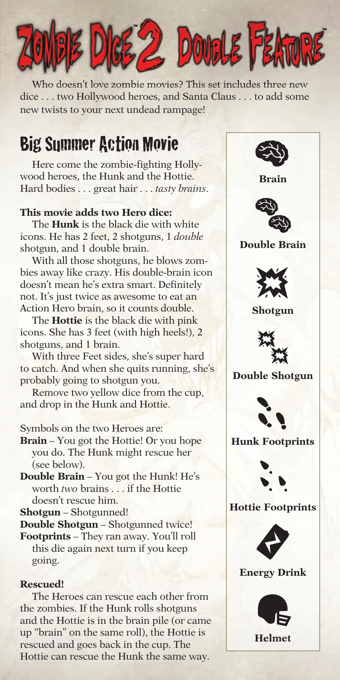

Who doesn't love zombie movies? This set includes three new dice . . . two Hollywood heroes, and Santa Claus . . . to add some new twists to your next undead rampage!

# Big Summer Action Movie

Here come the zombie-fighting Hollywood heroes, the Hunk and the Hottie. Hard bodies . . . great hair . . . *tasty brains*.

### **This movie adds two Hero dice:**

The **Hunk** is the black die with white icons. He has 2 feet, 2 shotguns, 1 *double* shotgun, and 1 double brain.

With all those shotguns, he blows zombies away like crazy. His double-brain icon doesn't mean he's extra smart. Definitely not. It's just twice as awesome to eat an Action Hero brain, so it counts double.

The **Hottie** is the black die with pink icons. She has 3 feet (with high heels!), 2 shotguns, and 1 brain.

With three Feet sides, she's super hard to catch. And when she quits running, she's probably going to shotgun you.

Remove two yellow dice from the cup, and drop in the Hunk and Hottie.

Symbols on the two Heroes are:

- **Brain** You got the Hottie! Or you hope you do. The Hunk might rescue her (see below).
- **Double Brain** You got the Hunk! He's worth *two* brains . . . if the Hottie doesn't rescue him.

**Shotgun** – Shotgunned!

**Double Shotgun** – Shotgunned twice!

**Footprints** – They ran away. You'll roll this die again next turn if you keep going.

### **Rescued!**

The Heroes can rescue each other from the zombies. If the Hunk rolls shotguns and the Hottie is in the brain pile (or came up "brain" on the same roll), the Hottie is rescued and goes back in the cup. The Hottie can rescue the Hunk the same way.



**Brain**



**Double Brain**



**Shotgun**



**Double Shotgun**



**Hunk Footprints**



**Hottie Footprints**



**Energy Drink**



**Helmet**